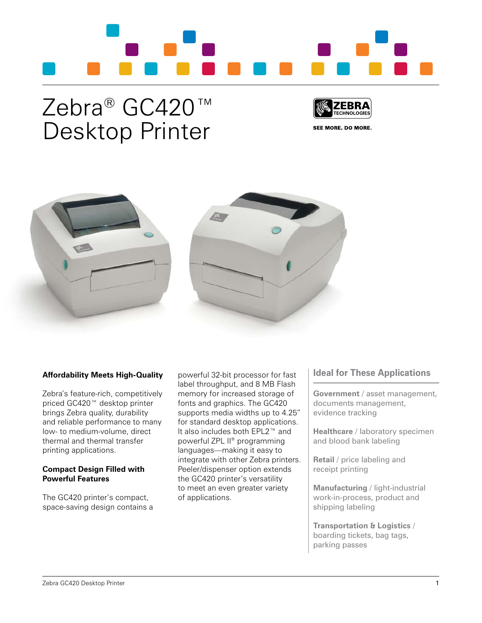

## Zebra<sup>®</sup> GC420™ Desktop Printer



SEE MORE, DO MORE.



## **Affordability Meets High-Quality**

Zebra's feature-rich, competitively priced GC420™ desktop printer brings Zebra quality, durability and reliable performance to many low- to medium-volume, direct thermal and thermal transfer printing applications.

## **Compact Design Filled with Powerful Features**

The GC420 printer's compact, space-saving design contains a powerful 32-bit processor for fast label throughput, and 8 MB Flash memory for increased storage of fonts and graphics. The GC420 supports media widths up to 4.25" for standard desktop applications. It also includes both EPL2™ and powerful ZPL II® programming languages—making it easy to integrate with other Zebra printers. Peeler/dispenser option extends the GC420 printer's versatility to meet an even greater variety of applications.

## **Ideal for These Applications**

**Government** / asset management, documents management, evidence tracking

**Healthcare** / laboratory specimen and blood bank labeling

**Retail** / price labeling and receipt printing

**Manufacturing** / light-industrial work-in-process, product and shipping labeling

**Transportation & Logistics** / boarding tickets, bag tags, parking passes